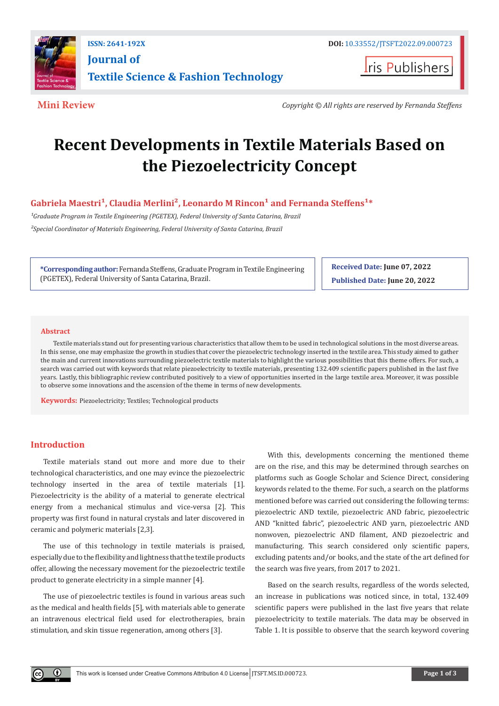

**ISSN: 2641-192X DOI:** [10.33552/JTSFT.2022.09.000723](https://dx.doi.org/10.33552/JTSFT.2022.09.000723) **[Journal of](https://irispublishers.com/jtsft/)  [Textile Science & Fashion Technology](https://irispublishers.com/jtsft/)**

**I**ris Publishers

**Mini Review** *Copyright © All rights are reserved by Fernanda Steffens*

# **Recent Developments in Textile Materials Based on the Piezoelectricity Concept**

Gabriela Maestri<sup>1</sup>, Claudia Merlini<sup>2</sup>, Leonardo M Rincon<sup>1</sup> and Fernanda Steffens<sup>1\*</sup>

<sup>1</sup>Graduate Program in Textile Engineering (PGETEX), Federal University of Santa Catarina, Brazil *²Special Coordinator of Materials Engineering, Federal University of Santa Catarina, Brazil*

**\*Corresponding author:** Fernanda Steffens, Graduate Program in Textile Engineering (PGETEX), Federal University of Santa Catarina, Brazil.

**Received Date: June 07, 2022 Published Date: June 20, 2022**

#### **Abstract**

Textile materials stand out for presenting various characteristics that allow them to be used in technological solutions in the most diverse areas. In this sense, one may emphasize the growth in studies that cover the piezoelectric technology inserted in the textile area. This study aimed to gather the main and current innovations surrounding piezoelectric textile materials to highlight the various possibilities that this theme offers. For such, a search was carried out with keywords that relate piezoelectricity to textile materials, presenting 132.409 scientific papers published in the last five years. Lastly, this bibliographic review contributed positively to a view of opportunities inserted in the large textile area. Moreover, it was possible to observe some innovations and the ascension of the theme in terms of new developments.

**Keywords:** Piezoelectricity; Textiles; Technological products

# **Introduction**

 $\bf 0$ 

Textile materials stand out more and more due to their technological characteristics, and one may evince the piezoelectric technology inserted in the area of textile materials [1]. Piezoelectricity is the ability of a material to generate electrical energy from a mechanical stimulus and vice-versa [2]. This property was first found in natural crystals and later discovered in ceramic and polymeric materials [2,3].

The use of this technology in textile materials is praised, especially due to the flexibility and lightness that the textile products offer, allowing the necessary movement for the piezoelectric textile product to generate electricity in a simple manner [4].

The use of piezoelectric textiles is found in various areas such as the medical and health fields [5], with materials able to generate an intravenous electrical field used for electrotherapies, brain stimulation, and skin tissue regeneration, among others [3].

With this, developments concerning the mentioned theme are on the rise, and this may be determined through searches on platforms such as Google Scholar and Science Direct, considering keywords related to the theme. For such, a search on the platforms mentioned before was carried out considering the following terms: piezoelectric AND textile, piezoelectric AND fabric, piezoelectric AND "knitted fabric", piezoelectric AND yarn, piezoelectric AND nonwoven, piezoelectric AND filament, AND piezoelectric and manufacturing. This search considered only scientific papers, excluding patents and/or books, and the state of the art defined for the search was five years, from 2017 to 2021.

Based on the search results, regardless of the words selected, an increase in publications was noticed since, in total, 132.409 scientific papers were published in the last five years that relate piezoelectricity to textile materials. The data may be observed in Table 1. It is possible to observe that the search keyword covering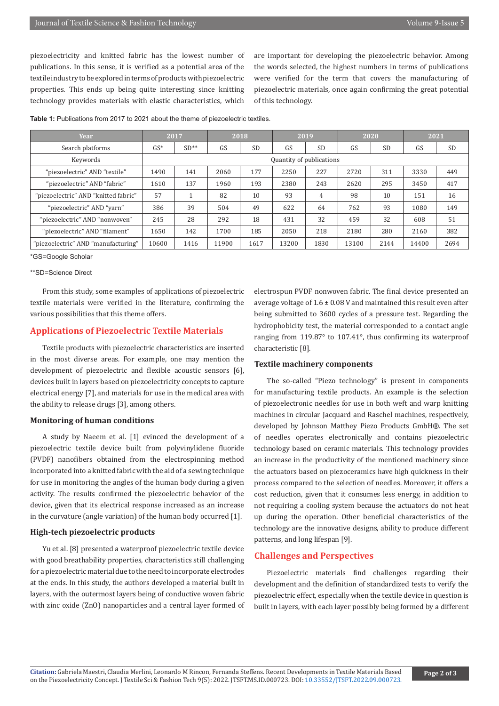piezoelectricity and knitted fabric has the lowest number of publications. In this sense, it is verified as a potential area of the textile industry to be explored in terms of products with piezoelectric properties. This ends up being quite interesting since knitting technology provides materials with elastic characteristics, which

are important for developing the piezoelectric behavior. Among the words selected, the highest numbers in terms of publications were verified for the term that covers the manufacturing of piezoelectric materials, once again confirming the great potential of this technology.

| Year                                 | 2017                     |        | 2018 |           | 2019 |                | 2020 |           | 2021 |                 |
|--------------------------------------|--------------------------|--------|------|-----------|------|----------------|------|-----------|------|-----------------|
| Search platforms                     | $GS*$                    | $SD**$ | GS   | <b>SD</b> | GS   | <b>SD</b>      | GS   | <b>SD</b> | GS   | <b>SD</b>       |
| Keywords                             | Quantity of publications |        |      |           |      |                |      |           |      |                 |
| "piezoelectric" AND "textile"        | 1490                     | 141    | 2060 | 177       | 2250 | 227            | 2720 | 311       | 3330 | 44 <sub>9</sub> |
| "piezoelectric" AND "fabric"         | 1610                     | 137    | 1960 | 193       | 2380 | 243            | 2620 | 295       | 3450 | 417             |
| "piezoelectric" AND "knitted fabric" | 57                       |        | 82   | 10        | 93   | $\overline{4}$ | 98   | 10        | 151  | 16              |
| "piezoelectric" AND "yarn"           | 386                      | 39     | 504  | 49        | 622  | 64             | 762  | 93        | 1080 | 14 <sub>5</sub> |
| "piezoelectric" AND "nonwoven"       | 245                      | 28     | 292  | 18        | 431  | 32             | 459  | 32        | 608  | 51              |
| "piezoelectric" AND "filament"       | 1650                     | 142    | 1700 | 185       | 2050 | 218            | 2180 | 280       | 2160 | 382             |

"piezoelectric" AND "manufacturing" 10600 1416 11900 1617 13200 1830 13100 2144 14400 2694

**Table 1:** Publications from 2017 to 2021 about the theme of piezoelectric textiles.

\*GS=Google Scholar

### \*\*SD=Science Direct

From this study, some examples of applications of piezoelectric textile materials were verified in the literature, confirming the various possibilities that this theme offers.

### **Applications of Piezoelectric Textile Materials**

Textile products with piezoelectric characteristics are inserted in the most diverse areas. For example, one may mention the development of piezoelectric and flexible acoustic sensors [6], devices built in layers based on piezoelectricity concepts to capture electrical energy [7], and materials for use in the medical area with the ability to release drugs [3], among others.

#### **Monitoring of human conditions**

A study by Naeem et al. [1] evinced the development of a piezoelectric textile device built from polyvinylidene fluoride (PVDF) nanofibers obtained from the electrospinning method incorporated into a knitted fabric with the aid of a sewing technique for use in monitoring the angles of the human body during a given activity. The results confirmed the piezoelectric behavior of the device, given that its electrical response increased as an increase in the curvature (angle variation) of the human body occurred [1].

### **High-tech piezoelectric products**

Yu et al. [8] presented a waterproof piezoelectric textile device with good breathability properties, characteristics still challenging for a piezoelectric material due to the need to incorporate electrodes at the ends. In this study, the authors developed a material built in layers, with the outermost layers being of conductive woven fabric with zinc oxide (ZnO) nanoparticles and a central layer formed of electrospun PVDF nonwoven fabric. The final device presented an average voltage of  $1.6 \pm 0.08$  V and maintained this result even after being submitted to 3600 cycles of a pressure test. Regarding the hydrophobicity test, the material corresponded to a contact angle ranging from 119.87° to 107.41°, thus confirming its waterproof characteristic [8].

#### **Textile machinery components**

The so-called "Piezo technology" is present in components for manufacturing textile products. An example is the selection of piezoelectronic needles for use in both weft and warp knitting machines in circular Jacquard and Raschel machines, respectively, developed by Johnson Matthey Piezo Products GmbH®. The set of needles operates electronically and contains piezoelectric technology based on ceramic materials. This technology provides an increase in the productivity of the mentioned machinery since the actuators based on piezoceramics have high quickness in their process compared to the selection of needles. Moreover, it offers a cost reduction, given that it consumes less energy, in addition to not requiring a cooling system because the actuators do not heat up during the operation. Other beneficial characteristics of the technology are the innovative designs, ability to produce different patterns, and long lifespan [9].

## **Challenges and Perspectives**

Piezoelectric materials find challenges regarding their development and the definition of standardized tests to verify the piezoelectric effect, especially when the textile device in question is built in layers, with each layer possibly being formed by a different